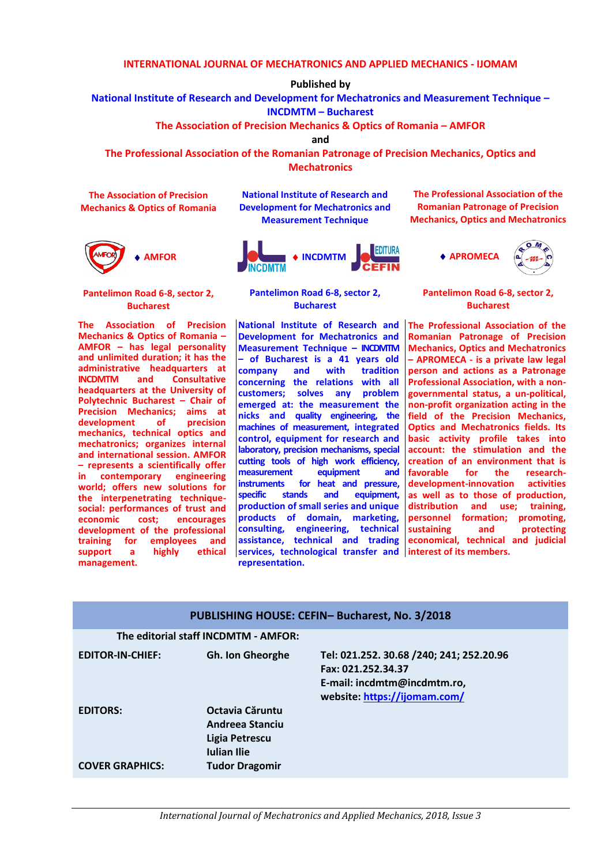### **INTERNATIONAL JOURNAL OF MECHATRONICS AND APPLIED MECHANICS - IJOMAM**

**Published by**

**National Institute of Research and Development for Mechatronics and Measurement Technique –**

**INCDMTM – Bucharest** 

**The Association of Precision Mechanics & Optics of Romania – AMFOR**

**and**

**The Professional Association of the Romanian Patronage of Precision Mechanics, Optics and Mechatronics**

**The Association of Precision Mechanics & Optics of Romania**



**Pantelimon Road 6-8, sector 2, Bucharest**

**The Association of Precision Mechanics & Optics of Romania – AMFOR – has legal personality and unlimited duration; it has the administrative headquarters at INCDMTM** and **headquarters at the University of Polytechnic Bucharest – Chair of Precision Mechanics; aims at**  development of **mechanics, technical optics and mechatronics; organizes internal and international session. AMFOR – represents a scientifically offer in contemporary engineering world; offers new solutions for the interpenetrating techniquesocial: performances of trust and cost;** encourages **development of the professional training for employees and support a highly ethical management.**

**National Institute of Research and Development for Mechatronics and Measurement Technique**



**Pantelimon Road 6-8, sector 2, Bucharest**

**services, technological transfer and | interest of its members. National Institute of Research and Development for Mechatronics and Measurement Technique – INCDMTM – of Bucharest is a 41 years old company** and **concerning the relations with all customers; solves any problem emerged at: the measurement the nicks and quality engineering, the machines of measurement, integrated control, equipment for research and laboratory, precision mechanisms, special cutting tools of high work efficiency, measurement equipment and instruments for heat and pressure, specific stands and equipment, production of small series and unique products of domain, marketing, consulting, engineering, technical assistance, technical and trading representation.**

**The Professional Association of the Romanian Patronage of Precision Mechanics, Optics and Mechatronics**



**Pantelimon Road 6-8, sector 2, Bucharest**

**The Professional Association of the Romanian Patronage of Precision Mechanics, Optics and Mechatronics – APROMECA - is a private law legal person and actions as a Patronage Professional Association, with a nongovernmental status, a un-political, non-profit organization acting in the field of the Precision Mechanics, Optics and Mechatronics fields. Its basic activity profile takes into account: the stimulation and the creation of an environment that is for the development-innovation activities as well as to those of production, distribution and use; training, personnel formation; promoting, sustaining and protecting economical, technical and judicial** 

| PUBLISHING HOUSE: CEFIN-Bucharest, No. 3/2018 |                                                                                                     |                                                                                                                               |
|-----------------------------------------------|-----------------------------------------------------------------------------------------------------|-------------------------------------------------------------------------------------------------------------------------------|
| The editorial staff INCDMTM - AMFOR:          |                                                                                                     |                                                                                                                               |
| <b>EDITOR-IN-CHIEF:</b>                       | <b>Gh. Ion Gheorghe</b>                                                                             | Tel: 021.252. 30.68 /240; 241; 252.20.96<br>Fax: 021.252.34.37<br>E-mail: incdmtm@incdmtm.ro,<br>website: https://ijomam.com/ |
| <b>EDITORS:</b><br><b>COVER GRAPHICS:</b>     | Octavia Căruntu<br>Andreea Stanciu<br>Ligia Petrescu<br><b>Iulian Ilie</b><br><b>Tudor Dragomir</b> |                                                                                                                               |